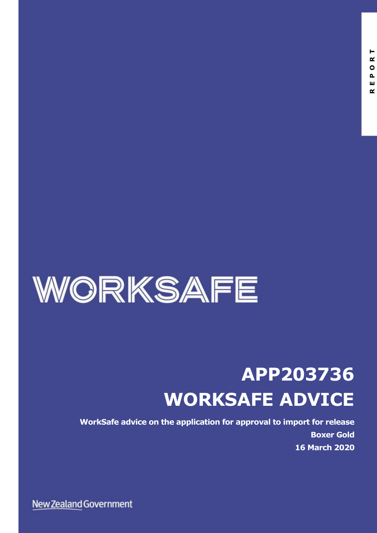

# **APP203736 WORKSAFE ADVICE**

**WorkSafe advice on the application for approval to import for release Boxer Gold 16 March 2020**

New Zealand Government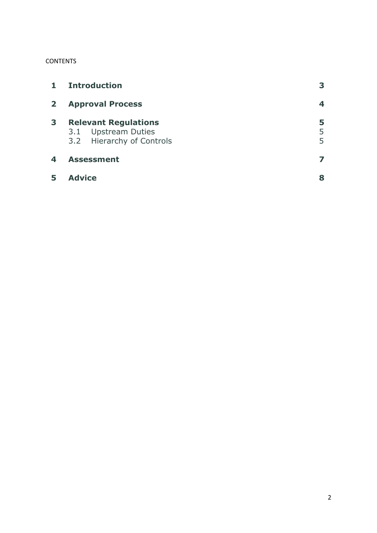#### **CONTENTS**

| $\mathbf{1}$ | <b>Introduction</b>                                                             |             |
|--------------|---------------------------------------------------------------------------------|-------------|
| $\mathbf{2}$ | <b>Approval Process</b>                                                         | 4           |
| 3            | <b>Relevant Regulations</b><br>3.1 Upstream Duties<br>3.2 Hierarchy of Controls | 5<br>5<br>5 |
| 4            | <b>Assessment</b>                                                               |             |
|              | <b>Advice</b>                                                                   | 8           |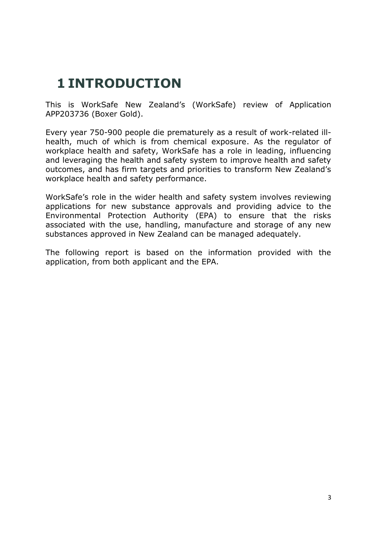### **1 INTRODUCTION**

This is WorkSafe New Zealand's (WorkSafe) review of Application APP203736 (Boxer Gold).

Every year 750-900 people die prematurely as a result of work-related illhealth, much of which is from chemical exposure. As the regulator of workplace health and safety, WorkSafe has a role in leading, influencing and leveraging the health and safety system to improve health and safety outcomes, and has firm targets and priorities to transform New Zealand's workplace health and safety performance.

WorkSafe's role in the wider health and safety system involves reviewing applications for new substance approvals and providing advice to the Environmental Protection Authority (EPA) to ensure that the risks associated with the use, handling, manufacture and storage of any new substances approved in New Zealand can be managed adequately.

The following report is based on the information provided with the application, from both applicant and the EPA.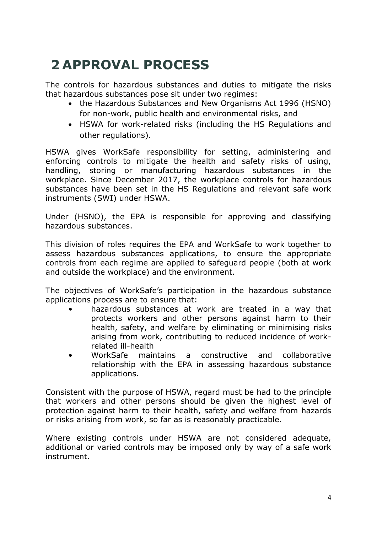# **2 APPROVAL PROCESS**

The controls for hazardous substances and duties to mitigate the risks that hazardous substances pose sit under two regimes:

- the Hazardous Substances and New Organisms Act 1996 (HSNO) for non-work, public health and environmental risks, and
- HSWA for work-related risks (including the HS Regulations and other regulations).

HSWA gives WorkSafe responsibility for setting, administering and enforcing controls to mitigate the health and safety risks of using, handling, storing or manufacturing hazardous substances in the workplace. Since December 2017, the workplace controls for hazardous substances have been set in the HS Regulations and relevant safe work instruments (SWI) under HSWA.

Under (HSNO), the EPA is responsible for approving and classifying hazardous substances.

This division of roles requires the EPA and WorkSafe to work together to assess hazardous substances applications, to ensure the appropriate controls from each regime are applied to safeguard people (both at work and outside the workplace) and the environment.

The objectives of WorkSafe's participation in the hazardous substance applications process are to ensure that:

- hazardous substances at work are treated in a way that protects workers and other persons against harm to their health, safety, and welfare by eliminating or minimising risks arising from work, contributing to reduced incidence of workrelated ill-health
- WorkSafe maintains a constructive and collaborative relationship with the EPA in assessing hazardous substance applications.

Consistent with the purpose of HSWA, regard must be had to the principle that workers and other persons should be given the highest level of protection against harm to their health, safety and welfare from hazards or risks arising from work, so far as is reasonably practicable.

Where existing controls under HSWA are not considered adequate, additional or varied controls may be imposed only by way of a safe work instrument.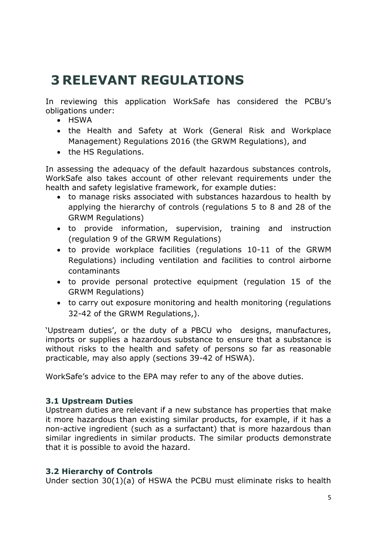### **3 RELEVANT REGULATIONS**

In reviewing this application WorkSafe has considered the PCBU's obligations under:

- HSWA
- the Health and Safety at Work (General Risk and Workplace Management) Regulations 2016 (the GRWM Regulations), and
- the HS Regulations.

In assessing the adequacy of the default hazardous substances controls, WorkSafe also takes account of other relevant requirements under the health and safety legislative framework, for example duties:

- to manage risks associated with substances hazardous to health by applying the hierarchy of controls (regulations 5 to 8 and 28 of the GRWM Regulations)
- to provide information, supervision, training and instruction (regulation 9 of the GRWM Regulations)
- to provide workplace facilities (regulations 10-11 of the GRWM Regulations) including ventilation and facilities to control airborne contaminants
- to provide personal protective equipment (regulation 15 of the GRWM Regulations)
- to carry out exposure monitoring and health monitoring (regulations 32-42 of the GRWM Regulations,).

'Upstream duties', or the duty of a PBCU who designs, manufactures, imports or supplies a hazardous substance to ensure that a substance is without risks to the health and safety of persons so far as reasonable practicable, may also apply (sections 39-42 of HSWA).

WorkSafe's advice to the EPA may refer to any of the above duties.

#### **3.1 Upstream Duties**

Upstream duties are relevant if a new substance has properties that make it more hazardous than existing similar products, for example, if it has a non-active ingredient (such as a surfactant) that is more hazardous than similar ingredients in similar products. The similar products demonstrate that it is possible to avoid the hazard.

### **3.2 Hierarchy of Controls**

Under section 30(1)(a) of HSWA the PCBU must eliminate risks to health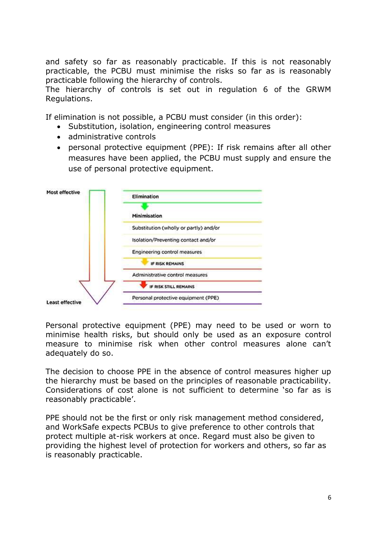and safety so far as reasonably practicable. If this is not reasonably practicable, the PCBU must minimise the risks so far as is reasonably practicable following the hierarchy of controls.

The hierarchy of controls is set out in regulation 6 of the GRWM Regulations.

If elimination is not possible, a PCBU must consider (in this order):

- Substitution, isolation, engineering control measures
- administrative controls
- personal protective equipment (PPE): If risk remains after all other measures have been applied, the PCBU must supply and ensure the use of personal protective equipment.



Personal protective equipment (PPE) may need to be used or worn to minimise health risks, but should only be used as an exposure control measure to minimise risk when other control measures alone can't adequately do so.

The decision to choose PPE in the absence of control measures higher up the hierarchy must be based on the principles of reasonable practicability. Considerations of cost alone is not sufficient to determine 'so far as is reasonably practicable'.

PPE should not be the first or only risk management method considered, and WorkSafe expects PCBUs to give preference to other controls that protect multiple at-risk workers at once. Regard must also be given to providing the highest level of protection for workers and others, so far as is reasonably practicable.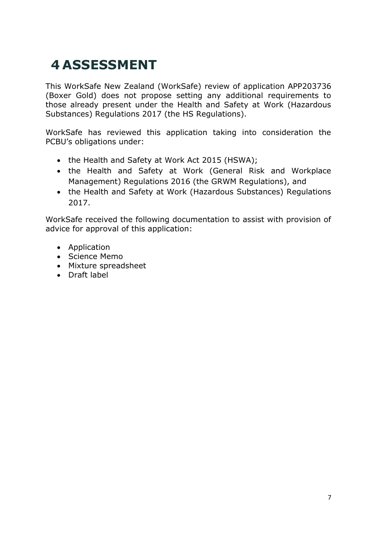# **4 ASSESSMENT**

This WorkSafe New Zealand (WorkSafe) review of application APP203736 (Boxer Gold) does not propose setting any additional requirements to those already present under the Health and Safety at Work (Hazardous Substances) Regulations 2017 (the HS Regulations).

WorkSafe has reviewed this application taking into consideration the PCBU's obligations under:

- the Health and Safety at Work Act 2015 (HSWA);
- the Health and Safety at Work (General Risk and Workplace Management) Regulations 2016 (the GRWM Regulations), and
- the Health and Safety at Work (Hazardous Substances) Regulations 2017.

WorkSafe received the following documentation to assist with provision of advice for approval of this application:

- Application
- Science Memo
- Mixture spreadsheet
- Draft label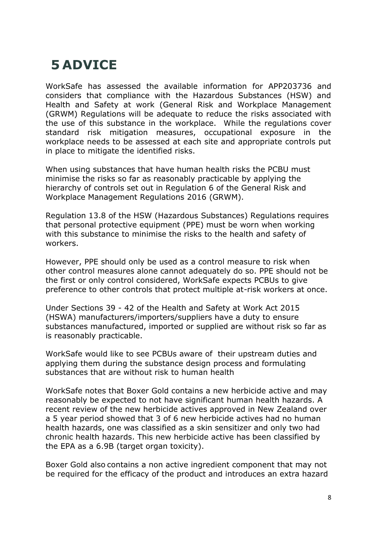## **5 ADVICE**

WorkSafe has assessed the available information for APP203736 and considers that compliance with the Hazardous Substances (HSW) and Health and Safety at work (General Risk and Workplace Management (GRWM) Regulations will be adequate to reduce the risks associated with the use of this substance in the workplace. While the regulations cover standard risk mitigation measures, occupational exposure in the workplace needs to be assessed at each site and appropriate controls put in place to mitigate the identified risks.

When using substances that have human health risks the PCBU must minimise the risks so far as reasonably practicable by applying the hierarchy of controls set out in Regulation 6 of the General Risk and Workplace Management Regulations 2016 (GRWM).

Regulation 13.8 of the HSW (Hazardous Substances) Regulations requires that personal protective equipment (PPE) must be worn when working with this substance to minimise the risks to the health and safety of workers.

However, PPE should only be used as a control measure to risk when other control measures alone cannot adequately do so. PPE should not be the first or only control considered, WorkSafe expects PCBUs to give preference to other controls that protect multiple at-risk workers at once.

Under Sections 39 - 42 of the Health and Safety at Work Act 2015 (HSWA) manufacturers/importers/suppliers have a duty to ensure substances manufactured, imported or supplied are without risk so far as is reasonably practicable.

WorkSafe would like to see PCBUs aware of their upstream duties and applying them during the substance design process and formulating substances that are without risk to human health

WorkSafe notes that Boxer Gold contains a new herbicide active and may reasonably be expected to not have significant human health hazards. A recent review of the new herbicide actives approved in New Zealand over a 5 year period showed that 3 of 6 new herbicide actives had no human health hazards, one was classified as a skin sensitizer and only two had chronic health hazards. This new herbicide active has been classified by the EPA as a 6.9B (target organ toxicity).

Boxer Gold also contains a non active ingredient component that may not be required for the efficacy of the product and introduces an extra hazard